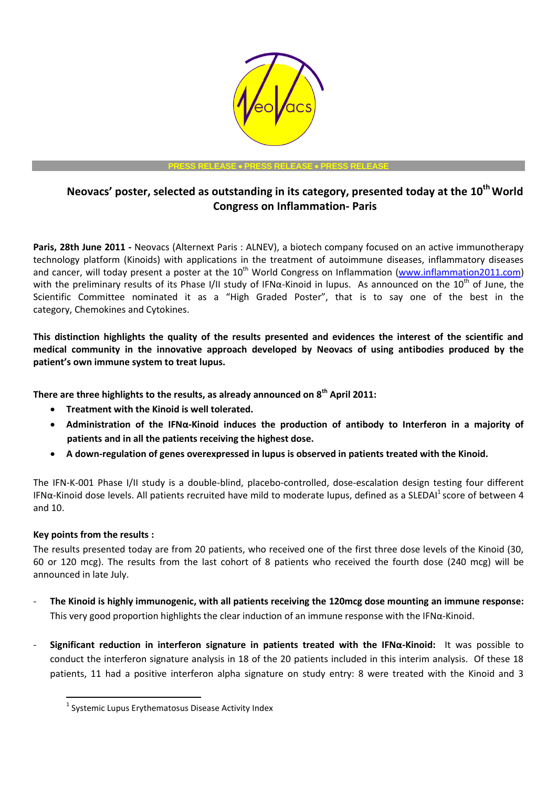

**PRESS RELEASE PRESS RELEASE PRESS RELEASE**

# **Neovacs' poster, selected as outstanding in its category, presented today at the 10th World Congress on Inflammation- Paris**

**Paris, 28th June 2011 -** Neovacs (Alternext Paris : ALNEV), a biotech company focused on an active immunotherapy technology platform (Kinoids) with applications in the treatment of autoimmune diseases, inflammatory diseases and cancer, will today present a poster at the  $10^{th}$  World Congress on Inflammation [\(www.inflammation2011.com\)](http://www.inflammation2011.com/) with the preliminary results of its Phase I/II study of IFN $\alpha$ -Kinoid in lupus. As announced on the 10<sup>th</sup> of June, the Scientific Committee nominated it as a "High Graded Poster", that is to say one of the best in the category, Chemokines and Cytokines.

**This distinction highlights the quality of the results presented and evidences the interest of the scientific and medical community in the innovative approach developed by Neovacs of using antibodies produced by the patient's own immune system to treat lupus.**

**There are three highlights to the results, as already announced on 8th April 2011:** 

- **Treatment with the Kinoid is well tolerated.**
- **Administration of the IFNα-Kinoid induces the production of antibody to Interferon in a majority of patients and in all the patients receiving the highest dose.**
- **A down-regulation of genes overexpressed in lupus is observed in patients treated with the Kinoid.**

The IFN-K-001 Phase I/II study is a double-blind, placebo-controlled, dose-escalation design testing four different IFN $\alpha$ -Kinoid dose levels. All patients recruited have mild to moderate lupus, defined as a SLEDAI<sup>1</sup> score of between 4 and 10.

## **Key points from the results :**

 $\overline{\phantom{a}}$ 

The results presented today are from 20 patients, who received one of the first three dose levels of the Kinoid (30, 60 or 120 mcg). The results from the last cohort of 8 patients who received the fourth dose (240 mcg) will be announced in late July.

- **The Kinoid is highly immunogenic, with all patients receiving the 120mcg dose mounting an immune response:** This very good proportion highlights the clear induction of an immune response with the IFNα-Kinoid.
- **Significant reduction in interferon signature in patients treated with the IFNα-Kinoid:** It was possible to conduct the interferon signature analysis in 18 of the 20 patients included in this interim analysis. Of these 18 patients, 11 had a positive interferon alpha signature on study entry: 8 were treated with the Kinoid and 3

<sup>&</sup>lt;sup>1</sup> Systemic Lupus Erythematosus Disease Activity Index